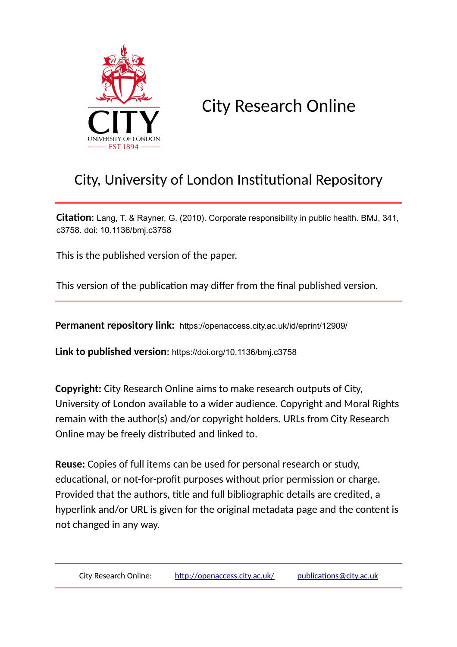

City Research Online

# City, University of London Institutional Repository

**Citation**: Lang, T. & Rayner, G. (2010). Corporate responsibility in public health. BMJ, 341, c3758. doi: 10.1136/bmj.c3758

This is the published version of the paper.

This version of the publication may differ from the final published version.

**Permanent repository link:** https://openaccess.city.ac.uk/id/eprint/12909/

**Link to published version**: https://doi.org/10.1136/bmj.c3758

**Copyright:** City Research Online aims to make research outputs of City, University of London available to a wider audience. Copyright and Moral Rights remain with the author(s) and/or copyright holders. URLs from City Research Online may be freely distributed and linked to.

**Reuse:** Copies of full items can be used for personal research or study, educational, or not-for-profit purposes without prior permission or charge. Provided that the authors, title and full bibliographic details are credited, a hyperlink and/or URL is given for the original metadata page and the content is not changed in any way.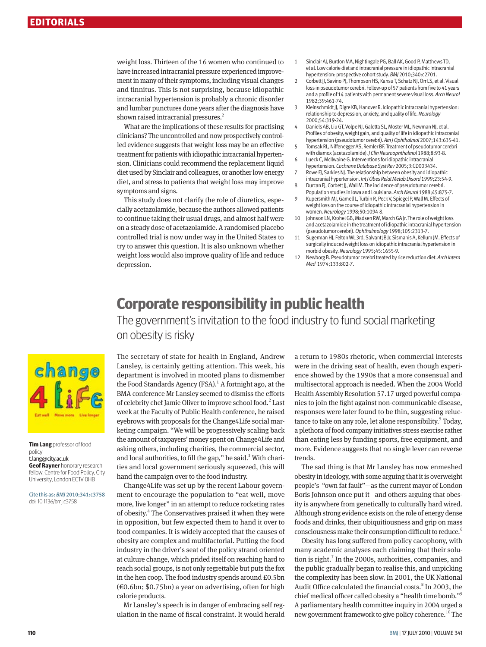weight loss. Thirteen of the 16 women who continued to have increased intracranial pressure experienced improvement in many of their symptoms, including visual changes and tinnitus. This is not surprising, because idiopathic intracranial hypertension is probably a chronic disorder and lumbar punctures done years after the diagnosis have shown raised intracranial pressures.<sup>2</sup>

What are the implications of these results for practising clinicians? The uncontrolled and now prospectively controlled evidence suggests that weight loss may be an effective treatment for patients with idiopathic intracranial hypertension. Clinicians could recommend the replacement liquid diet used by Sinclair and colleagues, or another low energy diet, and stress to patients that weight loss may improve symptoms and signs.

This study does not clarify the role of diuretics, especially acetazolamide, because the authors allowed patients to continue taking their usual drugs, and almost half were on a steady dose of acetazolamide. A randomised placebo controlled trial is now under way in the United States to try to answer this question. It is also unknown whether weight loss would also improve quality of life and reduce depression.

- 1 Sinclair AJ, Burdon MA, Nightingale PG, Ball AK, Good P, Matthews TD, et al. Low calorie diet and intracranial pressure in idiopathic intracranial hypertension: prospective cohort study. *BMJ* 2010;340:c2701.
- 2 Corbett JJ, Savino PJ, Thompson HS, Kansu T, Schatz NJ, Orr LS, et al. Visual loss in pseudotumor cerebri. Follow-up of 57 patients from five to 41 years and a profile of 14 patients with permanent severe visual loss. *Arch Neurol*  1982;39:461-74.
- 3 Kleinschmidt JJ, Digre KB, Hanover R. Idiopathic intracranial hypertension: relationship to depression, anxiety, and quality of life. *Neurology* 2000;54:319-24.
- 4 Daniels AB, Liu GT, Volpe NJ, Galetta SL, Moster ML, Newman NJ, et al. Profiles of obesity, weight gain, and quality of life in idiopathic intracranial hypertension (pseudotumor cerebri). *Am J Ophthalmol* 2007;143:635-41.
- 5 Tomsak RL, Niffenegger AS, Remler BF. Treatment of pseudotumor cerebri with diamox (acetazolamide). *J Clin Neuroophthalmol* 1988;8:93-8. 6 Lueck C, McIlwaine G. Interventions for idiopathic intracranial
- hypertension. *Cochrane Database Syst Rev* 2005;3:CD003434.
- 7 Rowe FJ, Sarkies NJ. The relationship between obesity and idiopathic intracranial hypertension. *Int J Obes Relat Metab Disord* 1999;23:54-9.
- 8 Durcan FJ, Corbett JJ, Wall M. The incidence of pseudotumor cerebri. Population studies in Iowa and Louisiana. *Arch Neurol* 1988;45:875-7.
- 9 Kupersmith MJ, Gamell L, Turbin R, Peck V, Spiegel P, Wall M. Effects of weight loss on the course of idiopathic intracranial hypertension in women. *Neurology* 1998;50:1094-8.
- 10 Johnson LN, Krohel GB, Madsen RW, March GA Jr. The role of weight loss and acetazolamide in the treatment of idiopathic intracranial hypertension (pseudotumor cerebri). *Ophthalmology* 1998;105:2313-7.
- 11 Sugerman HJ, Felton WL 3rd, Salvant JB Jr, Sismanis A, Kellum JM. Effects of surgically induced weight loss on idiopathic intracranial hypertension in morbid obesity. *Neurology* 1995;45:1655-9.
- 12 Newborg B. Pseudotumor cerebri treated by rice reduction diet. *Arch Intern Med* 1974;133:802-7.

## **Corporate responsibility in public health**

The government's invitation to the food industry to fund social marketing on obesity is risky



#### **Tim Lang** professor of food policy

t.lang@city.ac.uk

**Geof Rayner** honorary research fellow, Centre for Food Policy, City University, London EC1V 0HB

Cite this as: *BMJ* 2010;341:c3758 doi: 10.1136/bmj.c3758

The secretary of state for health in England, Andrew Lansley, is certainly getting attention. This week, his department is involved in mooted plans to dismember the Food Standards Agency (FSA).<sup>1</sup> A fortnight ago, at the BMA conference Mr Lansley seemed to dismiss the efforts of celebrity chef Jamie Oliver to improve school food.<sup>2</sup> Last week at the Faculty of Public Health conference, he raised eyebrows with proposals for the Change4Life social marketing campaign. "We will be progressively scaling back the amount of taxpayers' money spent on Change4Life and asking others, including charities, the commercial sector, and local authorities, to fill the gap," he said. $3$  With charities and local government seriously squeezed, this will hand the campaign over to the food industry.

Change4Life was set up by the recent Labour government to encourage the population to "eat well, move more, live longer" in an attempt to reduce rocketing rates of obesity.<sup>4</sup> The Conservatives praised it when they were in opposition, but few expected them to hand it over to food companies. It is widely accepted that the causes of obesity are complex and multifactorial. Putting the food industry in the driver's seat of the policy strand oriented at culture change, which prided itself on reaching hard to reach social groups, is not only regrettable but puts the fox in the hen coop. The food industry spends around £0.5bn  $(€0.6bn; $0.75bn)$  a year on advertising, often for high calorie products.

Mr Lansley's speech is in danger of embracing self regulation in the name of fiscal constraint. It would herald a return to 1980s rhetoric, when commercial interests were in the driving seat of health, even though experience showed by the 1990s that a more consensual and multisectoral approach is needed. When the 2004 World Health Assembly Resolution 57.17 urged powerful companies to join the fight against non-communicable disease, responses were later found to be thin, suggesting reluctance to take on any role, let alone responsibility.<sup>5</sup> Today, a plethora of food company initiatives stress exercise rather than eating less by funding sports, free equipment, and more. Evidence suggests that no single lever can reverse trends.

The sad thing is that Mr Lansley has now enmeshed obesity in ideology, with some arguing that it is overweight people's "own fat fault"—as the current mayor of London Boris Johnson once put it—and others arguing that obesity is anywhere from genetically to culturally hard wired. Although strong evidence exists on the role of energy dense foods and drinks, their ubiquitiousness and grip on mass consciousness make their consumption difficult to reduce.<sup>6</sup>

Obesity has long suffered from policy cacophony, with many academic analyses each claiming that their solution is right.<sup>7</sup> In the 2000s, authorities, companies, and the public gradually began to realise this, and unpicking the complexity has been slow. In 2001, the UK National Audit Office calculated the financial costs.<sup>8</sup> In 2003, the chief medical officer called obesity a "health time bomb."9 A parliamentary health committee inquiry in 2004 urged a new government framework to give policy coherence.<sup>10</sup> The